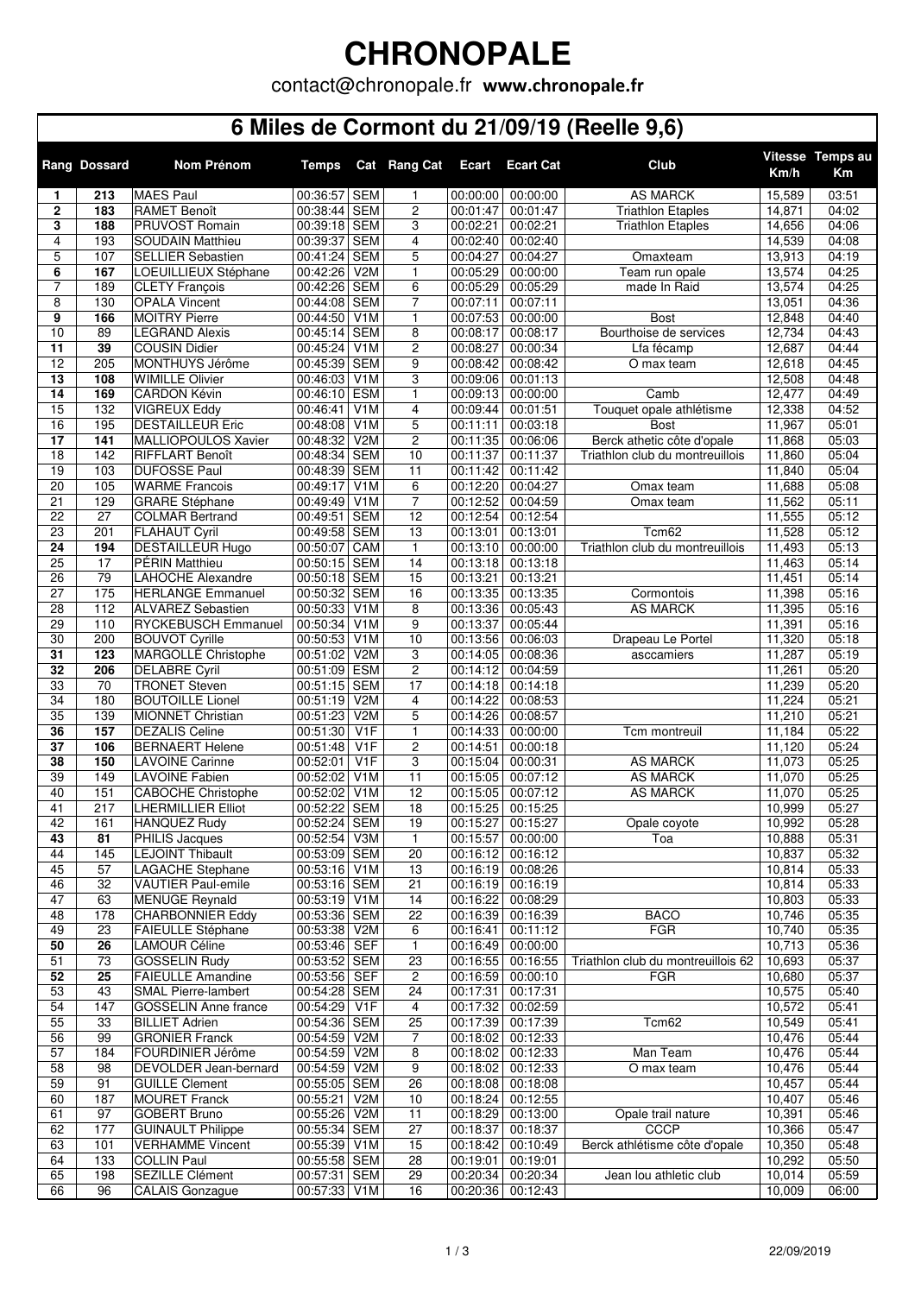## **CHRONOPALE**

contact@chronopale.fr **www.chronopale.fr**

### **6 Miles de Cormont du 21/09/19 (Reelle 9,6)**

|                     | <b>Rang Dossard</b> | <b>Nom Prénom</b>                                | <b>Temps</b>                 | Cat              | <b>Rang Cat</b>      | <b>Ecart</b>         | <b>Ecart Cat</b>     | Club                               | Km/h             | Vitesse Temps au<br>Km |
|---------------------|---------------------|--------------------------------------------------|------------------------------|------------------|----------------------|----------------------|----------------------|------------------------------------|------------------|------------------------|
| 1                   | 213                 | <b>MAES Paul</b>                                 | 00:36:57 SEM                 |                  | 1                    | 00:00:00             | 00:00:00             | <b>AS MARCK</b>                    | 15,589           | 03:51                  |
| $\mathbf{2}$        | 183                 | <b>RAMET Benoît</b>                              | 00:38:44 SEM                 |                  | $\overline{2}$       | 00:01:47             | 00:01:47             | <b>Triathlon Etaples</b>           | 14,871           | 04:02                  |
| 3                   | 188                 | PRUVOST Romain                                   | 00:39:18 SEM                 |                  | 3                    | 00:02:21             | 00:02:21             | <b>Triathlon Etaples</b>           | 14,656           | 04:06                  |
| $\overline{4}$      | 193                 | <b>SOUDAIN Matthieu</b>                          | 00:39:37 SEM                 |                  | $\overline{4}$       | 00:02:40             | 00:02:40             |                                    | 14,539           | 04:08                  |
| 5                   | 107                 | <b>SELLIER Sebastien</b>                         | 00:41:24 SEM                 |                  | 5                    | 00:04:27             | 00:04:27             | Omaxteam                           | 13,913           | 04:19                  |
| 6                   | 167                 | LOEUILLIEUX Stéphane                             | 00:42:26 V2M                 |                  | $\mathbf{1}$         | 00:05:29             | 00:00:00             | Team run opale                     | 13,574           | 04:25                  |
| $\overline{7}$<br>8 | 189<br>130          | <b>CLETY François</b><br><b>OPALA Vincent</b>    | 00:42:26 SEM<br>00:44:08 SEM |                  | 6<br>$\overline{7}$  | 00:05:29<br>00:07:11 | 00:05:29<br>00:07:11 | made In Raid                       | 13,574<br>13,051 | 04:25<br>04:36         |
| 9                   | 166                 | <b>MOITRY Pierre</b>                             | 00:44:50 V1M                 |                  | $\mathbf{1}$         | 00:07:53             | 00:00:00             | <b>Bost</b>                        | 12,848           | 04:40                  |
| 10                  | 89                  | <b>LEGRAND Alexis</b>                            | 00:45:14 SEM                 |                  | 8                    | 00:08:17             | 00:08:17             | Bourthoise de services             | 12,734           | 04:43                  |
| 11                  | 39                  | <b>COUSIN Didier</b>                             | 00:45:24 V1M                 |                  | 2                    | 00:08:27             | 00:00:34             | Lfa fécamp                         | 12,687           | 04:44                  |
| $\overline{12}$     | 205                 | MONTHUYS Jérôme                                  | 00:45:39 SEM                 |                  | 9                    | 00:08:42             | 00:08:42             | O max team                         | 12,618           | 04:45                  |
| 13                  | 108                 | <b>WIMILLE Olivier</b>                           | 00:46:03 V1M                 |                  | 3                    | 00:09:06             | 00:01:13             |                                    | 12,508           | 04:48                  |
| 14                  | 169                 | <b>CARDON Kévin</b>                              | 00:46:10 ESM                 |                  | $\mathbf{1}$         | 00:09:13             | 00:00:00             | Camb                               | 12,477           | 04:49                  |
| 15                  | 132                 | <b>VIGREUX Eddy</b>                              | 00:46:41                     | V <sub>1</sub> M | 4                    | 00:09:44             | 00:01:51             | Touquet opale athlétisme           | 12,338           | 04:52                  |
| 16                  | 195                 | <b>DESTAILLEUR Eric</b>                          | 00:48:08                     | V <sub>1</sub> M | 5                    | 00:11:11             | 00:03:18             | <b>Bost</b>                        | 11,967           | 05:01                  |
| $\overline{17}$     | 141                 | MALLIOPOULOS Xavier                              | 00:48:32 V2M                 |                  | 2                    | 00:11:35             | 00:06:06             | Berck athetic côte d'opale         | 11,868           | 05:03                  |
| $\overline{18}$     | 142                 | RIFFLART Benoît                                  | 00:48:34 SEM                 |                  | 10                   | 00:11:37             | 00:11:37             | Triathlon club du montreuillois    | 11,860           | 05:04                  |
| 19                  | 103                 | <b>DUFOSSE Paul</b>                              | 00:48:39 SEM                 |                  | 11                   | 00:11:42             | 00:11:42             |                                    | 11,840           | 05:04                  |
| 20                  | 105                 | <b>WARME Francois</b>                            | 00:49:17                     | V <sub>1</sub> M | 6                    | 00:12:20             | 00:04:27             | Omax team                          | 11,688           | 05:08                  |
| 21<br>22            | 129<br>27           | <b>GRARE Stéphane</b><br><b>COLMAR Bertrand</b>  | 00:49:49 V1M<br>00:49:51 SEM |                  | $\overline{7}$<br>12 | 00:12:52<br>00:12:54 | 00:04:59<br>00:12:54 | Omax team                          | 11,562<br>11,555 | 05:11<br>05:12         |
| 23                  | 201                 | <b>FLAHAUT Cyril</b>                             | 00:49:58 SEM                 |                  | 13                   | 00:13:01             | 00:13:01             | Tcm62                              | 11,528           | 05:12                  |
| $\overline{24}$     | 194                 | <b>DESTAILLEUR Hugo</b>                          | 00:50:07 CAM                 |                  | 1                    | 00:13:10             | 00:00:00             | Triathlon club du montreuillois    | 11,493           | 05:13                  |
| 25                  | 17                  | <b>PÉRIN Matthieu</b>                            | 00:50:15 SEM                 |                  | 14                   | 00:13:18             | 00:13:18             |                                    | 11,463           | 05:14                  |
| 26                  | 79                  | LAHOCHE Alexandre                                | 00:50:18 SEM                 |                  | 15                   | 00:13:21             | 00:13:21             |                                    | 11,451           | 05:14                  |
| 27                  | 175                 | <b>HERLANGE Emmanuel</b>                         | 00:50:32 SEM                 |                  | 16                   | 00:13:35             | 00:13:35             | Cormontois                         | 11,398           | 05:16                  |
| 28                  | 112                 | <b>ALVAREZ Sebastien</b>                         | 00:50:33 V1M                 |                  | 8                    | 00:13:36             | 00:05:43             | <b>AS MARCK</b>                    | 11,395           | 05:16                  |
| 29                  | 110                 | RYCKEBUSCH Emmanuel                              | 00:50:34 V1M                 |                  | 9                    | 00:13:37             | 00:05:44             |                                    | 11,391           | 05:16                  |
| 30                  | 200                 | <b>BOUVOT Cyrille</b>                            | 00:50:53 V1M                 |                  | 10                   | 00:13:56             | 00:06:03             | Drapeau Le Portel                  | 11,320           | 05:18                  |
| $\overline{31}$     | 123                 | MARGOLLÉ Christophe                              | 00:51:02                     | V2M              | 3                    | 00:14:05             | 00:08:36             | asccamiers                         | 11,287           | 05:19                  |
| 32                  | 206                 | <b>DELABRE Cyril</b>                             | 00:51:09 ESM                 |                  | 2                    | 00:14:12             | 00:04:59             |                                    | 11,261           | 05:20                  |
| 33<br>34            | 70<br>180           | <b>TRONET Steven</b><br><b>BOUTOILLE Lionel</b>  | 00:51:15 SEM<br>00:51:19     | V <sub>2</sub> M | 17<br>4              | 00:14:18<br>00:14:22 | 00:14:18<br>00:08:53 |                                    | 11,239<br>11,224 | 05:20<br>05:21         |
| $\overline{35}$     | 139                 | MIONNET Christian                                | 00:51:23 V2M                 |                  | 5                    | 00:14:26             | 00:08:57             |                                    | 11,210           | 05:21                  |
| 36                  | 157                 | <b>DEZALIS Celine</b>                            | 00:51:30                     | V <sub>1F</sub>  | $\mathbf{1}$         | 00:14:33             | 00:00:00             | Tcm montreuil                      | 11,184           | 05:22                  |
| 37                  | 106                 | <b>BERNAERT Helene</b>                           | 00:51:48                     | V <sub>1F</sub>  | $\overline{2}$       | 00:14:51             | 00:00:18             |                                    | 11,120           | 05:24                  |
| 38                  | 150                 | <b>LAVOINE Carinne</b>                           | 00:52:01                     | V <sub>1</sub> F | 3                    | 00:15:04             | 00:00:31             | <b>AS MARCK</b>                    | 11,073           | 05:25                  |
| 39                  | 149                 | <b>LAVOINE Fabien</b>                            | 00:52:02                     | V1M              | $\overline{11}$      | 00:15:05             | 00:07:12             | <b>AS MARCK</b>                    | 11,070           | 05:25                  |
| 40                  | 151                 | <b>CABOCHE Christophe</b>                        | 00:52:02                     | V1M              | $\overline{12}$      | 00:15:05             | 00:07:12             | <b>AS MARCK</b>                    | 11,070           | 05:25                  |
| 41                  | 217                 | <b>LHERMILLIER Elliot</b>                        | 00:52:22 SEM                 |                  | 18                   | 00:15:25             | 00:15:25             |                                    | 10,999           | 05:27                  |
| 42                  | 161                 | <b>HANQUEZ Rudy</b>                              | 00:52:24 SEM                 |                  | 19                   | 00:15:27             | 00:15:27             | Opale coyote                       | 10,992           | 05:28                  |
| 43                  | 81                  | PHILIS Jacques                                   | 00:52:54 V3M                 |                  | 1                    | 00:15:57             | 00:00:00             | Toa                                | 10,888           | 05:31                  |
| 44                  | 145                 | <b>LEJOINT Thibault</b>                          | 00:53:09 SEM                 |                  | 20                   | 00:16:12             | 00:16:12             |                                    | 10,837           | 05:32                  |
| 45                  | 57                  | <b>LAGACHE Stephane</b>                          | 00:53:16 V1M                 |                  | 13                   | 00:16:19             | 00:08:26             |                                    | 10,814           | 05:33                  |
| 46<br>47            | 32<br>63            | <b>VAUTIER Paul-emile</b>                        | 00:53:16 SEM<br>00:53:19 V1M |                  | 21                   | 00:16:19             | 00:16:19             |                                    | 10,814           | 05:33                  |
| 48                  | 178                 | <b>MENUGE Reynald</b><br><b>CHARBONNIER Eddy</b> | 00:53:36 SEM                 |                  | 14<br>22             | 00:16:22<br>00:16:39 | 00:08:29<br>00:16:39 | <b>BACO</b>                        | 10,803<br>10,746 | 05:33<br>05:35         |
| 49                  | $\overline{23}$     | <b>FAIEULLE Stéphane</b>                         | 00:53:38 V2M                 |                  | 6                    | 00:16:41             | 00:11:12             | <b>FGR</b>                         | 10,740           | 05:35                  |
| 50                  | 26                  | <b>LAMOUR Céline</b>                             | 00:53:46 SEF                 |                  | 1                    | 00:16:49             | 00:00:00             |                                    | 10,713           | 05:36                  |
| 51                  | 73                  | <b>GOSSELIN Rudy</b>                             | 00:53:52 SEM                 |                  | 23                   | 00:16:55             | 00:16:55             | Triathlon club du montreuillois 62 | 10,693           | $\overline{05:}37$     |
| 52                  | 25                  | <b>FAIEULLE Amandine</b>                         | 00:53:56 SEF                 |                  | 2                    | 00:16:59             | 00:00:10             | <b>FGR</b>                         | 10,680           | 05:37                  |
| 53                  | 43                  | <b>SMAL Pierre-lambert</b>                       | 00:54:28 SEM                 |                  | 24                   | 00:17:31             | 00:17:31             |                                    | 10,575           | 05:40                  |
| 54                  | 147                 | <b>GOSSELIN Anne france</b>                      | 00:54:29 V1F                 |                  | 4                    | 00:17:32             | 00:02:59             |                                    | 10,572           | 05:41                  |
| 55                  | 33                  | <b>BILLIET Adrien</b>                            | 00:54:36 SEM                 |                  | 25                   | 00:17:39             | 00:17:39             | Tcm62                              | 10,549           | 05:41                  |
| 56                  | 99                  | <b>GRONIER Franck</b>                            | 00:54:59 V2M                 |                  | 7                    | 00:18:02             | 00:12:33             |                                    | 10,476           | 05:44                  |
| 57                  | 184                 | FOURDINIER Jérôme                                | 00:54:59 V2M                 |                  | 8                    | 00:18:02             | 00:12:33             | Man Team                           | 10,476           | 05:44                  |
| 58                  | 98                  | DEVOLDER Jean-bernard                            | 00:54:59 V2M                 |                  | 9                    | 00:18:02             | 00:12:33             | O max team                         | 10,476           | 05:44                  |
| 59                  | 91                  | <b>GUILLE Clement</b>                            | 00:55:05 SEM                 |                  | 26                   | 00:18:08             | 00:18:08             |                                    | 10,457           | 05:44                  |
| 60<br>61            | 187<br>97           | <b>MOURET Franck</b><br><b>GOBERT Bruno</b>      | 00:55:21 V2M<br>00:55:26 V2M |                  | 10<br>11             | 00:18:24<br>00:18:29 | 00:12:55<br>00:13:00 | Opale trail nature                 | 10,407<br>10,391 | 05:46<br>05:46         |
| 62                  | 177                 | <b>GUINAULT Philippe</b>                         | 00:55:34 SEM                 |                  | 27                   | 00:18:37             | 00:18:37             | <b>CCCP</b>                        | 10,366           | 05:47                  |
| 63                  | 101                 | <b>VERHAMME Vincent</b>                          | 00:55:39 V1M                 |                  | 15                   | 00:18:42             | 00:10:49             | Berck athlétisme côte d'opale      | 10,350           | 05:48                  |
| 64                  | 133                 | <b>COLLIN Paul</b>                               | 00:55:58 SEM                 |                  | 28                   | 00:19:01             | 00:19:01             |                                    | 10,292           | 05:50                  |
| 65                  | 198                 | SEZILLE Clément                                  | 00:57:31 SEM                 |                  | 29                   | 00:20:34             | 00:20:34             | Jean lou athletic club             | 10,014           | 05:59                  |
| 66                  | 96                  | <b>CALAIS Gonzague</b>                           | 00:57:33 V1M                 |                  | 16                   | 00:20:36             | 00:12:43             |                                    | 10,009           | 06:00                  |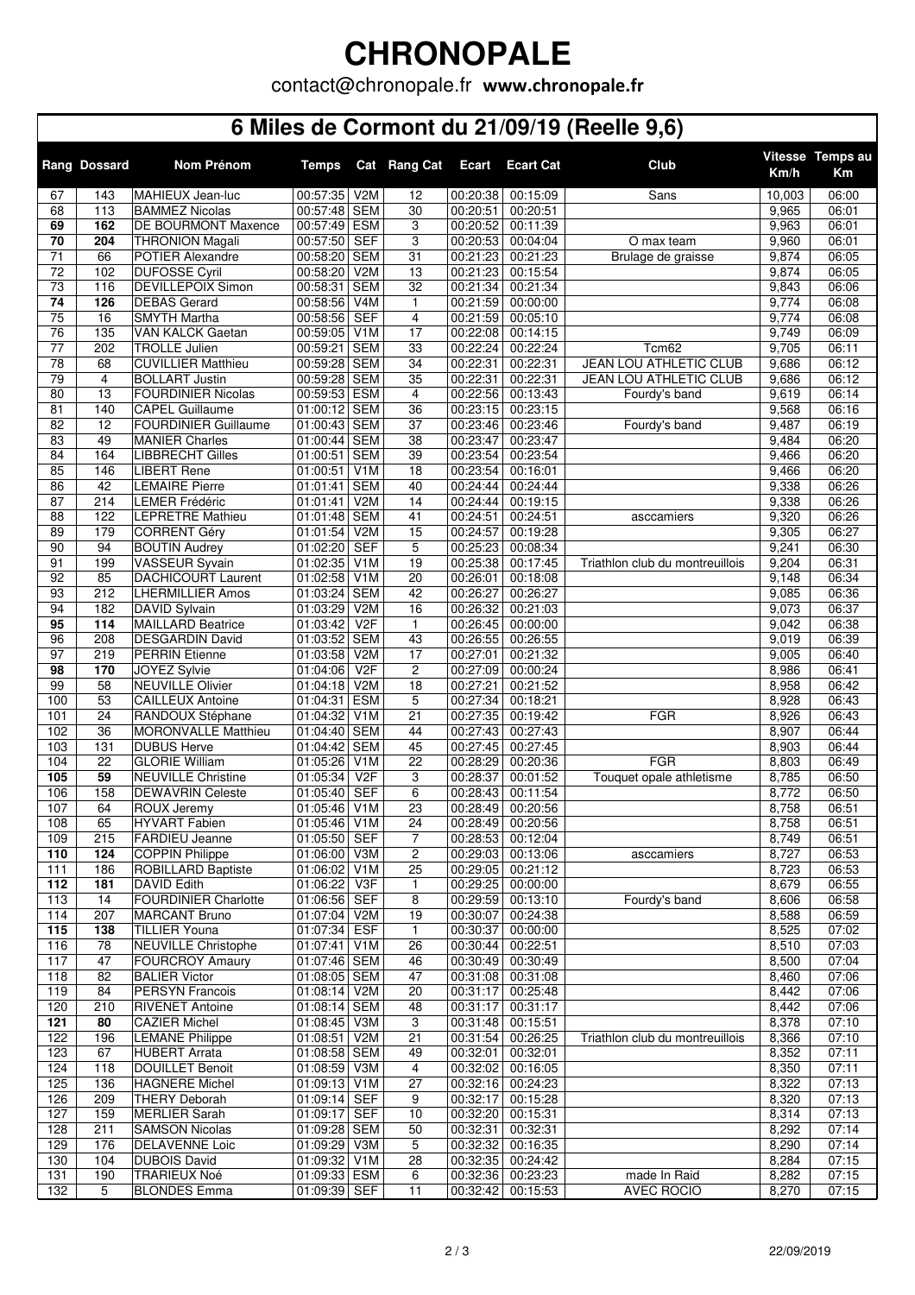# **CHRONOPALE**

contact@chronopale.fr **www.chronopale.fr**

#### **6 Miles de Cormont du 21/09/19 (Reelle 9,6)**

|                                    | <b>Rang Dossard</b> | Nom Prénom                                       | <b>Temps</b>                 |                                | Cat Rang Cat        | <b>Ecart</b>         | <b>Ecart Cat</b>              | Club                            | Km/h           | Vitesse Temps au<br>Km |
|------------------------------------|---------------------|--------------------------------------------------|------------------------------|--------------------------------|---------------------|----------------------|-------------------------------|---------------------------------|----------------|------------------------|
| 67                                 | 143                 | MAHIEUX Jean-luc                                 | 00:57:35 V2M                 |                                | $\overline{12}$     | 00:20:38             | 00:15:09                      | <b>Sans</b>                     | 10,003         | 06:00                  |
| 68                                 | 113                 | <b>BAMMEZ Nicolas</b>                            | 00:57:48 SEM                 |                                | 30                  | 00:20:51             | 00:20:51                      |                                 | 9,965          | 06:01                  |
| 69                                 | 162                 | DE BOURMONT Maxence                              | 00:57:49 ESM                 |                                | 3                   | 00:20:52             | 00:11:39                      |                                 | 9,963          | 06:01                  |
| 70                                 | 204                 | <b>THRONION Magali</b>                           | 00:57:50                     | <b>SEF</b>                     | 3                   | 00:20:53             | 00:04:04                      | O max team                      | 9,960          | 06:01                  |
| 71                                 | 66                  | <b>POTIER Alexandre</b>                          | 00:58:20 SEM                 |                                | 31                  | 00:21:23             | 00:21:23                      | Brulage de graisse              | 9,874          | 06:05                  |
| $\overline{72}$<br>$\overline{73}$ | 102<br>116          | <b>DUFOSSE Cyril</b><br><b>DEVILLEPOIX Simon</b> | 00:58:20<br>00:58:31         | V <sub>2</sub> M<br><b>SEM</b> | 13<br>32            | 00:21:23<br>00:21:34 | 00:15:54<br>00:21:34          |                                 | 9,874          | 06:05<br>06:06         |
| 74                                 | 126                 | <b>DEBAS Gerard</b>                              | 00:58:56                     | V4M                            | $\mathbf{1}$        | 00:21:59             | 00:00:00                      |                                 | 9,843<br>9,774 | 06:08                  |
| 75                                 | 16                  | <b>SMYTH Martha</b>                              | 00:58:56                     | <b>SEF</b>                     | 4                   | 00:21:59             | 00:05:10                      |                                 | 9,774          | 06:08                  |
| 76                                 | 135                 | <b>VAN KALCK Gaetan</b>                          | 00:59:05 V1M                 |                                | $\overline{17}$     | 00:22:08             | 00:14:15                      |                                 | 9,749          | 06:09                  |
| $\overline{77}$                    | 202                 | <b>TROLLE Julien</b>                             | 00:59:21                     | <b>SEM</b>                     | 33                  | 00:22:24             | 00:22:24                      | Tcm62                           | 9,705          | 06:11                  |
| 78                                 | 68                  | <b>CUVILLIER Matthieu</b>                        | 00:59:28                     | <b>SEM</b>                     | 34                  | 00:22:31             | 00:22:31                      | JEAN LOU ATHLETIC CLUB          | 9,686          | 06:12                  |
| 79                                 | 4                   | <b>BOLLART Justin</b>                            | 00:59:28 SEM                 |                                | 35                  | 00:22:31             | 00:22:31                      | <b>JEAN LOU ATHLETIC CLUB</b>   | 9,686          | 06:12                  |
| 80                                 | 13                  | <b>FOURDINIER Nicolas</b>                        | 00:59:53 ESM                 |                                | $\overline{4}$      | 00:22:56             | 00:13:43                      | Fourdy's band                   | 9,619          | 06:14                  |
| 81                                 | 140                 | <b>CAPEL Guillaume</b>                           | 01:00:12 SEM                 |                                | 36                  | 00:23:15             | 00:23:15                      |                                 | 9,568          | 06:16                  |
| 82                                 | 12                  | <b>FOURDINIER Guillaume</b>                      | 01:00:43 SEM                 |                                | 37                  | 00:23:46             | 00:23:46                      | Fourdy's band                   | 9,487          | 06:19                  |
| 83<br>84                           | 49<br>164           | <b>MANIER Charles</b><br><b>LIBBRECHT Gilles</b> | 01:00:44 SEM<br>01:00:51     | <b>SEM</b>                     | 38<br>39            | 00:23:47<br>00:23:54 | 00:23:47<br>00:23:54          |                                 | 9,484          | 06:20<br>06:20         |
| 85                                 | 146                 | <b>LIBERT Rene</b>                               | 01:00:51                     | V <sub>1</sub> M               | 18                  | 00:23:54             | 00:16:01                      |                                 | 9,466<br>9,466 | 06:20                  |
| 86                                 | 42                  | <b>LEMAIRE Pierre</b>                            | 01:01:41                     | <b>SEM</b>                     | 40                  | 00:24:44             | 00:24:44                      |                                 | 9,338          | 06:26                  |
| 87                                 | 214                 | <b>LEMER Frédéric</b>                            | 01:01:41                     | V <sub>2</sub> M               | 14                  | 00:24:44             | 00:19:15                      |                                 | 9,338          | 06:26                  |
| 88                                 | 122                 | <b>LEPRETRE Mathieu</b>                          | 01:01:48                     | <b>SEM</b>                     | 41                  | 00:24:51             | 00:24:51                      | asccamiers                      | 9,320          | 06:26                  |
| 89                                 | 179                 | <b>CORRENT Géry</b>                              | 01:01:54                     | V <sub>2</sub> M               | 15                  | 00:24:57             | 00:19:28                      |                                 | 9,305          | 06:27                  |
| 90                                 | 94                  | <b>BOUTIN Audrey</b>                             | 01:02:20                     | <b>SEF</b>                     | 5                   | 00:25:23             | 00:08:34                      |                                 | 9,241          | 06:30                  |
| 91                                 | 199                 | <b>VASSEUR Syvain</b>                            | 01:02:35                     | V <sub>1</sub> M               | 19                  | 00:25:38             | 00:17:45                      | Triathlon club du montreuillois | 9,204          | 06:31                  |
| 92                                 | 85                  | <b>DACHICOURT Laurent</b>                        | 01:02:58                     | V <sub>1</sub> M               | 20                  | 00:26:01             | 00:18:08                      |                                 | 9,148          | 06:34                  |
| 93                                 | 212                 | <b>LHERMILLIER Amos</b>                          | 01:03:24                     | <b>SEM</b>                     | 42                  | 00:26:27             | 00:26:27                      |                                 | 9,085          | 06:36                  |
| 94                                 | 182                 | <b>DAVID Sylvain</b>                             | 01:03:29                     | V <sub>2</sub> M               | 16                  | 00:26:32             | 00:21:03                      |                                 | 9,073          | 06:37                  |
| 95                                 | 114                 | <b>MAILLARD Beatrice</b>                         | 01:03:42                     | V <sub>2F</sub>                | 1                   | 00:26:45             | 00:00:00                      |                                 | 9,042          | 06:38                  |
| 96<br>97                           | 208                 | <b>DESGARDIN David</b>                           | 01:03:52 SEM                 |                                | 43                  | 00:26:55             | 00:26:55                      |                                 | 9,019          | 06:39                  |
| 98                                 | 219<br>170          | <b>PERRIN Etienne</b><br>JOYEZ Sylvie            | 01:03:58<br>01:04:06         | V2M<br>V <sub>2F</sub>         | 17<br>2             | 00:27:01<br>00:27:09 | 00:21:32<br>00:00:24          |                                 | 9,005<br>8,986 | 06:40<br>06:41         |
| 99                                 | 58                  | <b>NEUVILLE Olivier</b>                          | 01:04:18 V2M                 |                                | 18                  | 00:27:21             | 00:21:52                      |                                 | 8,958          | 06:42                  |
| 100                                | 53                  | <b>CAILLEUX Antoine</b>                          | 01:04:31                     | <b>ESM</b>                     | 5                   | 00:27:34             | 00:18:21                      |                                 | 8,928          | 06:43                  |
| 101                                | 24                  | RANDOUX Stéphane                                 | 01:04:32                     | V <sub>1</sub> M               | 21                  | 00:27:35             | 00:19:42                      | <b>FGR</b>                      | 8,926          | 06:43                  |
| 102                                | 36                  | <b>MORONVALLE Matthieu</b>                       | 01:04:40 SEM                 |                                | 44                  | 00:27:43             | 00:27:43                      |                                 | 8,907          | 06:44                  |
| 103                                | 131                 | <b>DUBUS Herve</b>                               | 01:04:42                     | <b>SEM</b>                     | 45                  | 00:27:45             | 00:27:45                      |                                 | 8,903          | 06:44                  |
| 104                                | $\overline{22}$     | <b>GLORIE William</b>                            | 01:05:26                     | V <sub>1</sub> M               | $\overline{22}$     | 00:28:29             | 00:20:36                      | FGR                             | 8,803          | 06:49                  |
| 105                                | 59                  | <b>NEUVILLE Christine</b>                        | 01:05:34                     | V <sub>2F</sub>                | 3                   | 00:28:37             | 00:01:52                      | Touquet opale athletisme        | 8,785          | 06:50                  |
| 106                                | 158                 | <b>DEWAVRIN Celeste</b>                          | 01:05:40                     | <b>SEF</b>                     | 6                   | 00:28:43             | 00:11:54                      |                                 | 8,772          | 06:50                  |
| 107                                | 64                  | ROUX Jeremy                                      | 01:05:46                     | V <sub>1</sub> M               | 23                  | 00:28:49             | 00:20:56                      |                                 | 8,758          | 06:51                  |
| 108                                | 65                  | <b>HYVART Fabien</b>                             | 01:05:46 V1M<br>01:05:50 SEF |                                | 24                  |                      | 00:28:49 00:20:56             |                                 | 8,758          | 06:51                  |
| 109<br>110                         | 215<br>124          | FARDIEU Jeanne<br><b>COPPIN Philippe</b>         | 01:06:00                     | V3M                            | $\overline{7}$<br>2 | 00:29:03             | 00:28:53 00:12:04<br>00:13:06 | asccamiers                      | 8,749<br>8,727 | 06:51<br>06:53         |
| 111                                | 186                 | ROBILLARD Baptiste                               | 01:06:02 V1M                 |                                | 25                  | 00:29:05             | 00:21:12                      |                                 | 8,723          | 06:53                  |
| 112                                | 181                 | DAVID Edith                                      | 01:06:22                     | V3F                            | $\mathbf{1}$        | 00:29:25             | 00:00:00                      |                                 | 8,679          | 06:55                  |
| 113                                | 14                  | <b>FOURDINIER Charlotte</b>                      | 01:06:56 SEF                 |                                | 8                   | 00:29:59             | 00:13:10                      | Fourdy's band                   | 8,606          | 06:58                  |
| 114                                | 207                 | <b>MARCANT Bruno</b>                             | 01:07:04 V2M                 |                                | 19                  | 00:30:07             | 00:24:38                      |                                 | 8,588          | 06:59                  |
| 115                                | 138                 | <b>TILLIER Youna</b>                             | 01:07:34                     | <b>ESF</b>                     | $\mathbf{1}$        | 00:30:37             | 00:00:00                      |                                 | 8,525          | 07:02                  |
| 116                                | 78                  | <b>NEUVILLE Christophe</b>                       | 01:07:41                     | V <sub>1</sub> M               | 26                  | 00:30:44             | 00:22:51                      |                                 | 8,510          | 07:03                  |
| 117                                | 47                  | FOURCROY Amaury                                  | 01:07:46 SEM                 |                                | 46                  | 00:30:49             | 00:30:49                      |                                 | 8,500          | 07:04                  |
| 118                                | 82                  | <b>BALIER Victor</b>                             | 01:08:05 SEM                 |                                | 47                  | 00:31:08             | 00:31:08                      |                                 | 8,460          | 07:06                  |
| 119                                | 84                  | <b>PERSYN Francois</b>                           | 01:08:14                     | V2M                            | 20                  | 00:31:17             | 00:25:48                      |                                 | 8,442          | 07:06                  |
| 120                                | 210                 | <b>RIVENET Antoine</b>                           | 01:08:14 SEM                 |                                | 48                  | 00:31:17             | 00:31:17                      |                                 | 8,442          | 07:06                  |
| 121<br>122                         | 80<br>196           | <b>CAZIER Michel</b><br><b>LEMANE Philippe</b>   | 01:08:45 V3M<br>01:08:51     | V <sub>2</sub> M               | 3<br>21             | 00:31:48<br>00:31:54 | 00:15:51<br>00:26:25          | Triathlon club du montreuillois | 8,378<br>8,366 | 07:10<br>07:10         |
| 123                                | 67                  | <b>HUBERT Arrata</b>                             | 01:08:58 SEM                 |                                | 49                  | 00:32:01             | 00:32:01                      |                                 | 8,352          | 07:11                  |
| 124                                | 118                 | <b>DOUILLET Benoit</b>                           | 01:08:59 V3M                 |                                | 4                   | 00:32:02             | 00:16:05                      |                                 | 8,350          | 07:11                  |
| 125                                | 136                 | <b>HAGNERE Michel</b>                            | 01:09:13 V1M                 |                                | 27                  | 00:32:16             | 00:24:23                      |                                 | 8,322          | 07:13                  |
| 126                                | 209                 | <b>THERY Deborah</b>                             | 01:09:14                     | <b>SEF</b>                     | 9                   | 00:32:17             | 00:15:28                      |                                 | 8,320          | 07:13                  |
| 127                                | 159                 | <b>MERLIER Sarah</b>                             | 01:09:17                     | <b>SEF</b>                     | 10                  | 00:32:20             | 00:15:31                      |                                 | 8,314          | 07:13                  |
| 128                                | 211                 | <b>SAMSON Nicolas</b>                            | 01:09:28 SEM                 |                                | 50                  | 00:32:31             | 00:32:31                      |                                 | 8,292          | 07:14                  |
| 129                                | 176                 | DELAVENNE Loic                                   | 01:09:29 V3M                 |                                | 5                   | 00:32:32             | 00:16:35                      |                                 | 8,290          | 07:14                  |
| 130                                | 104                 | <b>DUBOIS David</b>                              | 01:09:32 V1M                 |                                | 28                  | 00:32:35             | 00:24:42                      |                                 | 8,284          | 07:15                  |
| 131                                | 190                 | TRARIEUX Noé                                     | 01:09:33 ESM                 |                                | 6                   |                      | 00:32:36 00:23:23             | made In Raid                    | 8,282          | 07:15                  |
| $\overline{132}$                   | 5                   | <b>BLONDES Emma</b>                              | 01:09:39 SEF                 |                                | 11                  |                      | 00:32:42 00:15:53             | <b>AVEC ROCIO</b>               | 8,270          | 07:15                  |